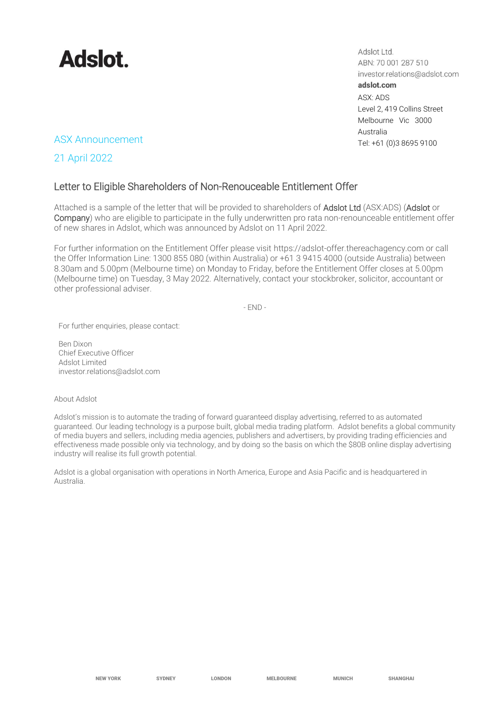

Adslot Ltd. ABN: 70 001 287 510 investor.relations@adslot.com adslot.com ASX: ADS Level 2, 419 Collins Street Melbourne Vic 3000 Australia

# ASX Announcement Tel: +61 (0)3 8695 9100

21 April 2022

# Letter to Eligible Shareholders of Non-Renouceable Entitlement Offer

Attached is a sample of the letter that will be provided to shareholders of Adslot Ltd (ASX:ADS) (Adslot or Company) who are eligible to participate in the fully underwritten pro rata non-renounceable entitlement offer of new shares in Adslot, which was announced by Adslot on 11 April 2022.

For further information on the Entitlement Offer please visit https://adslot-offer.thereachagency.com or call the Offer Information Line: 1300 855 080 (within Australia) or +61 3 9415 4000 (outside Australia) between 8.30am and 5.00pm (Melbourne time) on Monday to Friday, before the Entitlement Offer closes at 5.00pm (Melbourne time) on Tuesday, 3 May 2022. Alternatively, contact your stockbroker, solicitor, accountant or other professional adviser.

 $-FND -$ 

For further enquiries, please contact:

Ben Dixon Chief Executive Officer Adslot Limited [investor.relations@adslot.com](mailto:info@adslot.com.au)

#### About Adslot

Adslot's mission is to automate the trading of forward guaranteed display advertising, referred to as automated guaranteed. Our leading technology is a purpose built, global media trading platform. Adslot benefits a global community of media buyers and sellers, including media agencies, publishers and advertisers, by providing trading efficiencies and effectiveness made possible only via technology, and by doing so the basis on which the \$80B online display advertising industry will realise its full growth potential.

Adslot is a global organisation with operations in North America, Europe and Asia Pacific and is headquartered in Australia.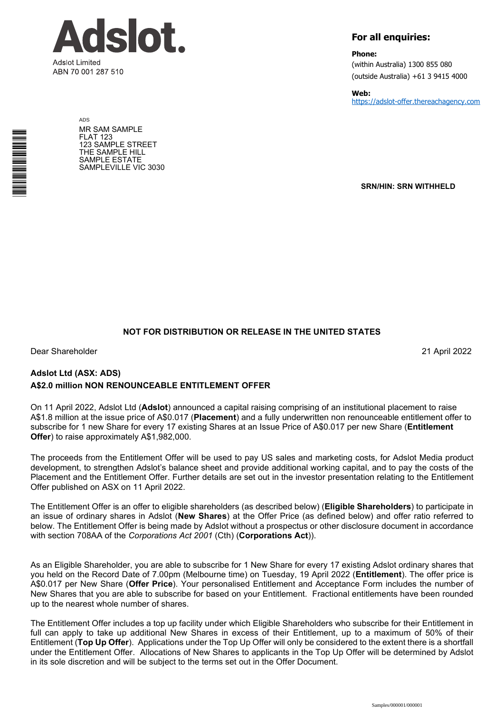

ADS MR SAM SAMPLE FLAT 123 123 SAMPLE STREET THE SAMPLE HILL SAMPLE ESTATE SAMPLEVILLE VIC 3030

# **For all enquiries:**

**Phone:**

(within Australia) 1300 855 080 (outside Australia) +61 3 9415 4000

**Web:** https://adslot-offer.thereachagency.com

**SRN/HIN: SRN WITHHELD**

# **NOT FOR DISTRIBUTION OR RELEASE IN THE UNITED STATES**

Dear Shareholder 21 April 2022

\*<br>\* London<br>Timografia

# **Adslot Ltd (ASX: ADS) A\$2.0 million NON RENOUNCEABLE ENTITLEMENT OFFER**

On 11 April 2022, Adslot Ltd (**Adslot**) announced a capital raising comprising of an institutional placement to raise A\$1.8 million at the issue price of A\$0.017 (**Placement**) and a fully underwritten non renounceable entitlement offer to subscribe for 1 new Share for every 17 existing Shares at an Issue Price of A\$0.017 per new Share (**Entitlement Offer**) to raise approximately A\$1,982,000.

The proceeds from the Entitlement Offer will be used to pay US sales and marketing costs, for Adslot Media product development, to strengthen Adslot's balance sheet and provide additional working capital, and to pay the costs of the Placement and the Entitlement Offer. Further details are set out in the investor presentation relating to the Entitlement Offer published on ASX on 11 April 2022.

The Entitlement Offer is an offer to eligible shareholders (as described below) (**Eligible Shareholders**) to participate in an issue of ordinary shares in Adslot (**New Shares**) at the Offer Price (as defined below) and offer ratio referred to below. The Entitlement Offer is being made by Adslot without a prospectus or other disclosure document in accordance with section 708AA of the *Corporations Act 2001* (Cth) (**Corporations Act**)).

As an Eligible Shareholder, you are able to subscribe for 1 New Share for every 17 existing Adslot ordinary shares that you held on the Record Date of 7.00pm (Melbourne time) on Tuesday, 19 April 2022 (**Entitlement**). The offer price is A\$0.017 per New Share (**Offer Price**). Your personalised Entitlement and Acceptance Form includes the number of New Shares that you are able to subscribe for based on your Entitlement. Fractional entitlements have been rounded up to the nearest whole number of shares.

The Entitlement Offer includes a top up facility under which Eligible Shareholders who subscribe for their Entitlement in full can apply to take up additional New Shares in excess of their Entitlement, up to a maximum of 50% of their Entitlement (**Top Up Offer**). Applications under the Top Up Offer will only be considered to the extent there is a shortfall under the Entitlement Offer. Allocations of New Shares to applicants in the Top Up Offer will be determined by Adslot in its sole discretion and will be subject to the terms set out in the Offer Document.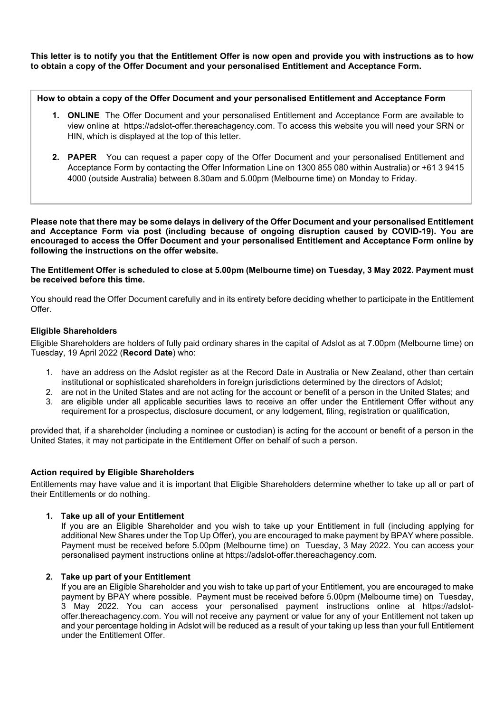**This letter is to notify you that the Entitlement Offer is now open and provide you with instructions as to how to obtain a copy of the Offer Document and your personalised Entitlement and Acceptance Form.** 

**How to obtain a copy of the Offer Document and your personalised Entitlement and Acceptance Form** 

- **1. ONLINE** The Offer Document and your personalised Entitlement and Acceptance Form are available to view online at https://adslot-offer.thereachagency.com. To access this website you will need your SRN or HIN, which is displayed at the top of this letter.
- **2. PAPER** You can request a paper copy of the Offer Document and your personalised Entitlement and Acceptance Form by contacting the Offer Information Line on 1300 855 080 within Australia) or +61 3 9415 4000 (outside Australia) between 8.30am and 5.00pm (Melbourne time) on Monday to Friday.

**Please note that there may be some delays in delivery of the Offer Document and your personalised Entitlement and Acceptance Form via post (including because of ongoing disruption caused by COVID-19). You are encouraged to access the Offer Document and your personalised Entitlement and Acceptance Form online by following the instructions on the offer website.** 

**The Entitlement Offer is scheduled to close at 5.00pm (Melbourne time) on Tuesday, 3 May 2022. Payment must be received before this time.** 

You should read the Offer Document carefully and in its entirety before deciding whether to participate in the Entitlement Offer.

## **Eligible Shareholders**

Eligible Shareholders are holders of fully paid ordinary shares in the capital of Adslot as at 7.00pm (Melbourne time) on Tuesday, 19 April 2022 (**Record Date**) who:

- 1. have an address on the Adslot register as at the Record Date in Australia or New Zealand, other than certain institutional or sophisticated shareholders in foreign jurisdictions determined by the directors of Adslot;
- 2. are not in the United States and are not acting for the account or benefit of a person in the United States; and
- 3. are eligible under all applicable securities laws to receive an offer under the Entitlement Offer without any requirement for a prospectus, disclosure document, or any lodgement, filing, registration or qualification,

provided that, if a shareholder (including a nominee or custodian) is acting for the account or benefit of a person in the United States, it may not participate in the Entitlement Offer on behalf of such a person.

## **Action required by Eligible Shareholders**

Entitlements may have value and it is important that Eligible Shareholders determine whether to take up all or part of their Entitlements or do nothing.

## **1. Take up all of your Entitlement**

If you are an Eligible Shareholder and you wish to take up your Entitlement in full (including applying for additional New Shares under the Top Up Offer), you are encouraged to make payment by BPAY where possible. Payment must be received before 5.00pm (Melbourne time) on Tuesday, 3 May 2022. You can access your personalised payment instructions online at https://adslot-offer.thereachagency.com.

#### **2. Take up part of your Entitlement**

If you are an Eligible Shareholder and you wish to take up part of your Entitlement, you are encouraged to make payment by BPAY where possible. Payment must be received before 5.00pm (Melbourne time) on Tuesday, 3 May 2022. You can access your personalised payment instructions online at https://adslotoffer.thereachagency.com. You will not receive any payment or value for any of your Entitlement not taken up and your percentage holding in Adslot will be reduced as a result of your taking up less than your full Entitlement under the Entitlement Offer.